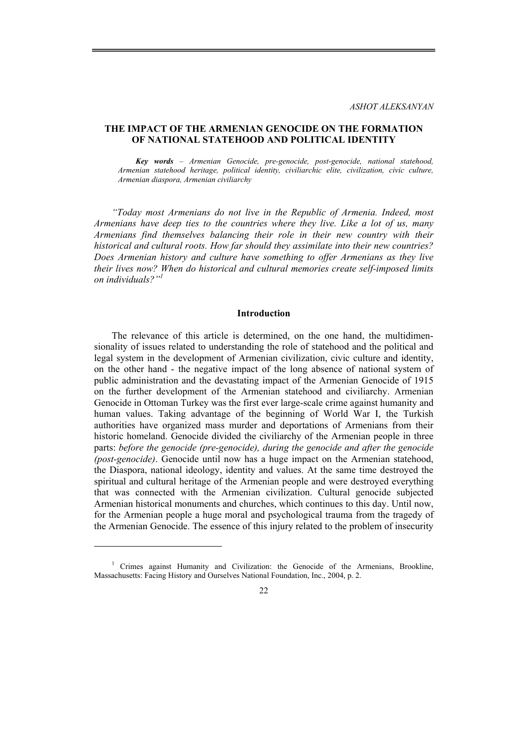### **THE IMPACT OF THE ARMENIAN GENOCIDE ON THE FORMATION OF NATIONAL STATEHOOD AND POLITICAL IDENTITY**

*Key words – Armenian Genocide, pre-genocide, post-genocide, national statehood, Armenian statehood heritage, political identity, civiliarchic elite, civilization, civic culture, Armenian diaspora, Armenian civiliarchy* 

*"Today most Armenians do not live in the Republic of Armenia. Indeed, most Armenians have deep ties to the countries where they live. Like a lot of us, many Armenians find themselves balancing their role in their new country with their historical and cultural roots. How far should they assimilate into their new countries? Does Armenian history and culture have something to offer Armenians as they live their lives now? When do historical and cultural memories create self-imposed limits on individuals?"1*

#### **Introduction**

The relevance of this article is determined, on the one hand, the multidimensionality of issues related to understanding the role of statehood and the political and legal system in the development of Armenian civilization, civic culture and identity, on the other hand - the negative impact of the long absence of national system of public administration and the devastating impact of the Armenian Genocide of 1915 on the further development of the Armenian statehood and civiliarchy. Armenian Genocide in Ottoman Turkey was the first ever large-scale crime against humanity and human values. Taking advantage of the beginning of World War I, the Turkish authorities have organized mass murder and deportations of Armenians from their historic homeland. Genocide divided the civiliarchy of the Armenian people in three parts: *before the genocide (pre-genocide), during the genocide and after the genocide (post-genocide)*. Genocide until now has a huge impact on the Armenian statehood, the Diaspora, national ideology, identity and values. At the same time destroyed the spiritual and cultural heritage of the Armenian people and were destroyed everything that was connected with the Armenian civilization. Cultural genocide subjected Armenian historical monuments and churches, which continues to this day. Until now, for the Armenian people a huge moral and psychological trauma from the tragedy of the Armenian Genocide. The essence of this injury related to the problem of insecurity

<sup>&</sup>lt;sup>1</sup> Crimes against Humanity and Civilization: the Genocide of the Armenians, Brookline, Massachusetts: Facing History and Ourselves National Foundation, Inc., 2004, p. 2.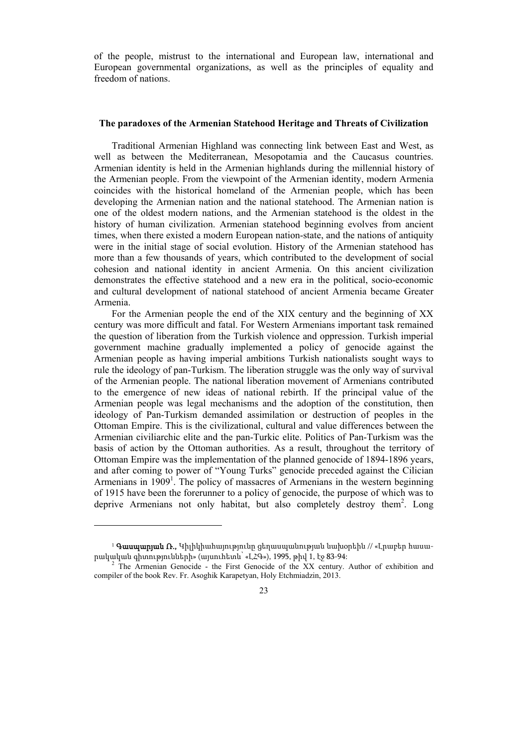of the people, mistrust to the international and European law, international and European governmental organizations, as well as the principles of equality and freedom of nations.

#### **The paradoxes of the Armenian Statehood Heritage and Threats of Civilization**

Traditional Armenian Highland was connecting link between East and West, as well as between the Mediterranean, Mesopotamia and the Caucasus countries. Armenian identity is held in the Armenian highlands during the millennial history of the Armenian people. From the viewpoint of the Armenian identity, modern Armenia coincides with the historical homeland of the Armenian people, which has been developing the Armenian nation and the national statehood. The Armenian nation is one of the oldest modern nations, and the Armenian statehood is the oldest in the history of human civilization. Armenian statehood beginning evolves from ancient times, when there existed a modern European nation-state, and the nations of antiquity were in the initial stage of social evolution. History of the Armenian statehood has more than a few thousands of years, which contributed to the development of social cohesion and national identity in ancient Armenia. On this ancient civilization demonstrates the effective statehood and a new era in the political, socio-economic and cultural development of national statehood of ancient Armenia became Greater Armenia.

For the Armenian people the end of the XIX century and the beginning of XX century was more difficult and fatal. For Western Armenians important task remained the question of liberation from the Turkish violence and oppression. Turkish imperial government machine gradually implemented a policy of genocide against the Armenian people as having imperial ambitions Turkish nationalists sought ways to rule the ideology of pan-Turkism. The liberation struggle was the only way of survival of the Armenian people. The national liberation movement of Armenians contributed to the emergence of new ideas of national rebirth. If the principal value of the Armenian people was legal mechanisms and the adoption of the constitution, then ideology of Pan-Turkism demanded assimilation or destruction of peoples in the Ottoman Empire. This is the civilizational, cultural and value differences between the Armenian civiliarchic elite and the pan-Turkic elite. Politics of Pan-Turkism was the basis of action by the Ottoman authorities. As a result, throughout the territory of Ottoman Empire was the implementation of the planned genocide of 1894-1896 years, and after coming to power of "Young Turks" genocide preceded against the Cilician Armenians in 1909<sup>1</sup>. The policy of massacres of Armenians in the western beginning of 1915 have been the forerunner to a policy of genocide, the purpose of which was to deprive Armenians not only habitat, but also completely destroy them<sup>2</sup>. Long

 $1$  Գասպարյան Ռ., Կիլիկիահայությունը ցեղասպանության նախօրեին // «Լրաբեր հասարակական գիտությունների» (այսուհետև՝ «ԼՀԳ»), 1995, թիվ 1, էջ 83-94: <sup>2</sup>

The Armenian Genocide - the First Genocide of the XX century. Author of exhibition and compiler of the book Rev. Fr. Asoghik Karapetyan, Holy Etchmiadzin, 2013.

<sup>23</sup>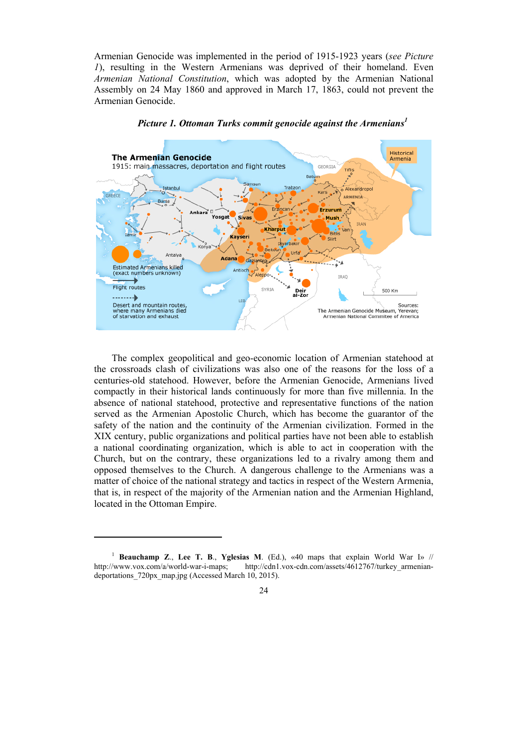Armenian Genocide was implemented in the period of 1915-1923 years (*see Picture 1*), resulting in the Western Armenians was deprived of their homeland. Even *Armenian National Constitution*, which was adopted by the Armenian National Assembly on 24 May 1860 and approved in March 17, 1863, could not prevent the Armenian Genocide.



*Picture 1. Ottoman Turks commit genocide against the Armenians1*

The complex geopolitical and geo-economic location of Armenian statehood at the crossroads clash of civilizations was also one of the reasons for the loss of a centuries-old statehood. However, before the Armenian Genocide, Armenians lived compactly in their historical lands continuously for more than five millennia. In the absence of national statehood, protective and representative functions of the nation served as the Armenian Apostolic Church, which has become the guarantor of the safety of the nation and the continuity of the Armenian civilization. Formed in the XIX century, public organizations and political parties have not been able to establish a national coordinating organization, which is able to act in cooperation with the Church, but on the contrary, these organizations led to a rivalry among them and opposed themselves to the Church. A dangerous challenge to the Armenians was a matter of choice of the national strategy and tactics in respect of the Western Armenia, that is, in respect of the majority of the Armenian nation and the Armenian Highland, located in the Ottoman Empire.

<sup>1</sup> **Beauchamp Z**., **Lee T. B**., **Yglesias M**. (Ed.), «40 maps that explain World War I» // http://www.vox.com/a/world-war-i-maps; http://cdn1.vox-cdn.com/assets/4612767/turkey\_armeniandeportations 720px\_map.jpg (Accessed March 10, 2015).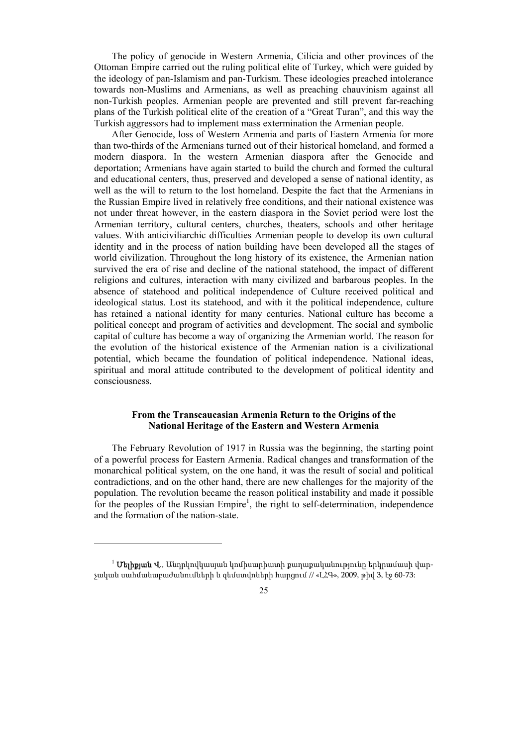The policy of genocide in Western Armenia, Cilicia and other provinces of the Ottoman Empire carried out the ruling political elite of Turkey, which were guided by the ideology of pan-Islamism and pan-Turkism. These ideologies preached intolerance towards non-Muslims and Armenians, as well as preaching chauvinism against all non-Turkish peoples. Armenian people are prevented and still prevent far-reaching plans of the Turkish political elite of the creation of a "Great Turan", and this way the Turkish aggressors had to implement mass extermination the Armenian people.

After Genocide, loss of Western Armenia and parts of Eastern Armenia for more than two-thirds of the Armenians turned out of their historical homeland, and formed a modern diaspora. In the western Armenian diaspora after the Genocide and deportation; Armenians have again started to build the church and formed the cultural and educational centers, thus, preserved and developed a sense of national identity, as well as the will to return to the lost homeland. Despite the fact that the Armenians in the Russian Empire lived in relatively free conditions, and their national existence was not under threat however, in the eastern diaspora in the Soviet period were lost the Armenian territory, cultural centers, churches, theaters, schools and other heritage values. With anticiviliarchic difficulties Armenian people to develop its own cultural identity and in the process of nation building have been developed all the stages of world civilization. Throughout the long history of its existence, the Armenian nation survived the era of rise and decline of the national statehood, the impact of different religions and cultures, interaction with many civilized and barbarous peoples. In the absence of statehood and political independence of Culture received political and ideological status. Lost its statehood, and with it the political independence, culture has retained a national identity for many centuries. National culture has become a political concept and program of activities and development. The social and symbolic capital of culture has become a way of organizing the Armenian world. The reason for the evolution of the historical existence of the Armenian nation is a civilizational potential, which became the foundation of political independence. National ideas, spiritual and moral attitude contributed to the development of political identity and consciousness.

## **From the Transcaucasian Armenia Return to the Origins of the National Heritage of the Eastern and Western Armenia**

The February Revolution of 1917 in Russia was the beginning, the starting point of a powerful process for Eastern Armenia. Radical changes and transformation of the monarchical political system, on the one hand, it was the result of social and political contradictions, and on the other hand, there are new challenges for the majority of the population. The revolution became the reason political instability and made it possible for the peoples of the Russian Empire<sup>1</sup>, the right to self-determination, independence and the formation of the nation-state.

<sup>&</sup>lt;sup>1</sup> **Մելիքյան Վ**., Անդրկովկասյան կոմիսարիատի քաղաքականությունը երկրամասի վարչական սահմանաբաժանումների և զեմստվոների հարցում // «ԼՀԳ», 2009, թիվ 3, էջ 60-73: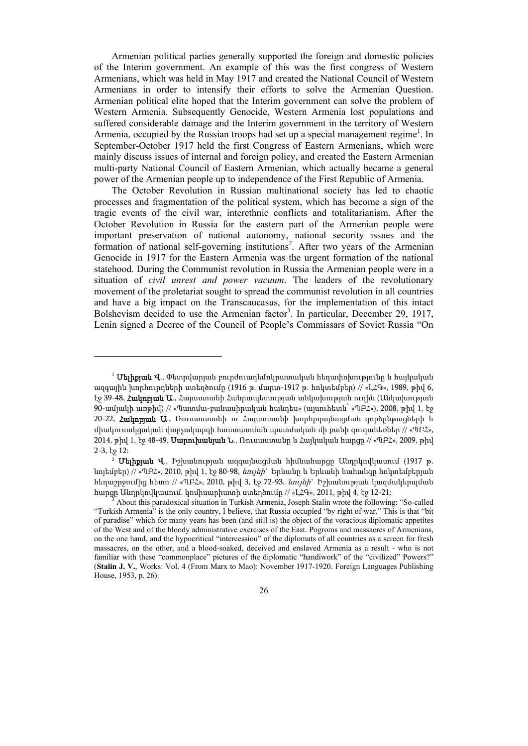Armenian political parties generally supported the foreign and domestic policies of the Interim government. An example of this was the first congress of Western Armenians, which was held in May 1917 and created the National Council of Western Armenians in order to intensify their efforts to solve the Armenian Question. Armenian political elite hoped that the Interim government can solve the problem of Western Armenia. Subsequently Genocide, Western Armenia lost populations and suffered considerable damage and the Interim government in the territory of Western Armenia, occupied by the Russian troops had set up a special management regime<sup>1</sup>. In September-October 1917 held the first Congress of Eastern Armenians, which were mainly discuss issues of internal and foreign policy, and created the Eastern Armenian multi-party National Council of Eastern Armenian, which actually became a general power of the Armenian people up to independence of the First Republic of Armenia.

The October Revolution in Russian multinational society has led to chaotic processes and fragmentation of the political system, which has become a sign of the tragic events of the civil war, interethnic conflicts and totalitarianism. After the October Revolution in Russia for the eastern part of the Armenian people were important preservation of national autonomy, national security issues and the formation of national self-governing institutions*<sup>2</sup>* . After two years of the Armenian Genocide in 1917 for the Eastern Armenia was the urgent formation of the national statehood. During the Communist revolution in Russia the Armenian people were in a situation of *civil unrest and power vacuum*. The leaders of the revolutionary movement of the proletariat sought to spread the communist revolution in all countries and have a big impact on the Transcaucasus, for the implementation of this intact Bolshevism decided to use the Armenian factor<sup>3</sup>. In particular, December 29, 1917, Lenin signed a Decree of the Council of People's Commissars of Soviet Russia "On

<sup>2</sup> Մելիքյան Վ., Իշխանության ազգայնացման հիմնահարցը Անդրկովկասում (1917 թ. նոյեմբեր) // «ՊԲՀ», 2010, թիվ 1, էջ 80-98, *նույնի*` Երևանը և Երևանի նահանգը հոկտեմբերյան հեղաշրջումից հետո // «ՊԲՀ», 2010, թիվ 3, էջ 72-93, նույնի` Իշխանության կազմակերպման հարցը Անդրկովկասում. կոմիսարիատի ստեղծումը // «ԼՀԳ», 2011, թիվ 4, էջ 12-21: <sup>3</sup>

 $^1$  **Մելիքյան Վ**., Փետրվարյան բուրժուադեմոկրատական հեղափոխությունը և հայկական ազգային խորհուրդների ստեղծումը (1916 թ. մարտ-1917 թ. հոկտեմբեր) // «ԼՀԳ», 1989, թիվ 6, էջ 39-48, Հակոբյան Ա., Հայաստանի Հանրապետության անկախության ուղին (Անկախության 90-ամյակի առթիվ) // «Պատմա-բանասիրական հանդես» (այսուհետև՝ «ՊԲՀ»), 2008, թիվ 1, էջ 20-22, Հակոբյան Ա., Ռուսաստանի ու Հայաստանի խորհրդայնացման գործընթացների և միակուսակցական վարչակարգի հաստատման պատմական մի քանի զուգահեռներ // «ՊԲՀ», 2014, թիվ 1, էջ 48-49, **Սարուխանյան Ն**., Ռուսաստանը և Հայկական հարցը // «ՊԲՀ», 2009, թիվ 2-3, էջ 12:

About this paradoxical situation in Turkish Armenia, Joseph Stalin wrote the following: "So-called "Turkish Armenia" is the only country, I believe, that Russia occupied "by right of war." This is that "bit of paradise" which for many years has been (and still is) the object of the voracious diplomatic appetites of the West and of the bloody administrative exercises of the East. Pogroms and massacres of Armenians, on the one hand, and the hypocritical "intercession" of the diplomats of all countries as a screen for fresh massacres, on the other, and a blood-soaked, deceived and enslaved Armenia as a result - who is not familiar with these "commonplace" pictures of the diplomatic "handiwork" of the "civilized" Powers?" (**Stalin J. V.**, Works: Vol. 4 (From Marx to Mao): November 1917-1920. Foreign Languages Publishing House, 1953, p. 26).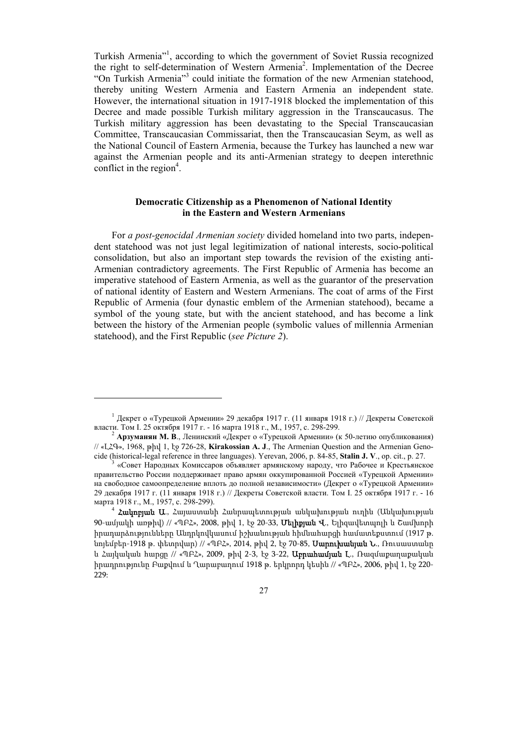Turkish Armenia"<sup>1</sup> , according to which the government of Soviet Russia recognized the right to self-determination of Western Armenia<sup>2</sup>. Implementation of the Decree "On Turkish Armenia"<sup>3</sup> could initiate the formation of the new Armenian statehood, thereby uniting Western Armenia and Eastern Armenia an independent state. However, the international situation in 1917-1918 blocked the implementation of this Decree and made possible Turkish military aggression in the Transcaucasus. The Turkish military aggression has been devastating to the Special Transcaucasian Committee, Transcaucasian Commissariat, then the Transcaucasian Seym, as well as the National Council of Eastern Armenia, because the Turkey has launched a new war against the Armenian people and its anti-Armenian strategy to deepen interethnic conflict in the region $4$ .

## **Democratic Citizenship as a Phenomenon of National Identity in the Eastern and Western Armenians**

For *a post-genocidal Armenian society* divided homeland into two parts, independent statehood was not just legal legitimization of national interests, socio-political consolidation, but also an important step towards the revision of the existing anti-Armenian contradictory agreements. The First Republic of Armenia has become an imperative statehood of Eastern Armenia, as well as the guarantor of the preservation of national identity of Eastern and Western Armenians. The coat of arms of the First Republic of Armenia (four dynastic emblem of the Armenian statehood), became a symbol of the young state, but with the ancient statehood, and has become a link between the history of the Armenian people (symbolic values of millennia Armenian statehood), and the First Republic (*see Picture 2*).

<sup>&</sup>lt;sup>1</sup> Декрет о «Турецкой Армении» 29 декабря 1917 г. (11 января 1918 г.) // Декреты Советской власти. Том I. 25 октября 1917 г. - 16 марта 1918 г., М., 1957, с. 298-299.

<sup>&</sup>lt;sup>2</sup> Арзуманян М. В., Ленинский «Декрет о «Турецкой Армении» (к 50-летию опубликования) // «ԼՀԳ», 1968, թիվ 1, էջ 726-28, **Kirakossian A. J**., The Armenian Question and the Armenian Genocide (historical-legal reference in three languages). Yerevan, 2006, p. 84-85, **Stalin J. V**., op. cit., p. 27. 3

 <sup>«</sup>Совет Народных Комиссаров объявляет армянскому народу, что Рабочее и Крестьянское правительство России поддерживает право армян оккупированной Россией «Турецкой Армении» на свободное самоопределение вплоть до полной независимости» (Декрет о «Турецкой Армении» 29 декабря 1917 г. (11 января 1918 г.) // Декреты Советской власти. Том I. 25 октября 1917 г. - 16 марта 1918 г., М., 1957, с. 298-299).<br><sup>4</sup> **Հակոբյան Ա**., Հայաստանի Հանրապետության անկախության ուղին (Անկախության

<sup>90-</sup>ամյակի առթիվ) // «ՊԲՀ», 2008, թիվ 1, էջ 20-33, **Մելիքյան Վ**., Ելիզավետպոլի և Շամխորի իրադարձությունները Անդրկովկասում իշխանության հիմնահարցի համատեքստում (1917 թ. նոյեմբեր-1918 թ. փետրվար) // «ՊԲՀ», 2014, թիվ 2, էջ 70-85, Սարուխանյան Ն., Ռուսաստանը և Հայկական հարցը // «ՊԲՀ», 2009, թիվ 2-3, էջ 3-22, Աբրահամյան Լ., Ռազմաքաղաքական իրադրությունը Բաքվում և Ղարաբաղում 1918 թ. երկրորդ կեսին // «ՊԲՀ», 2006, թիվ 1, էջ 220- 229: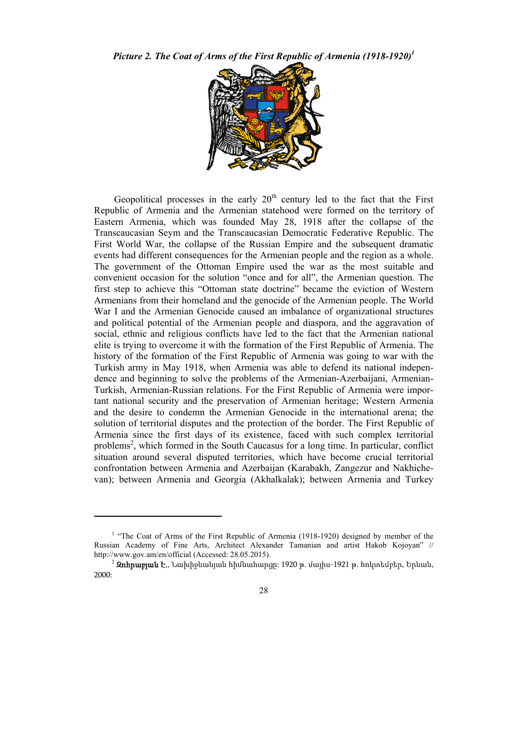*Picture 2. The Coat of Arms of the First Republic of Armenia (1918-1920)1*



Geopolitical processes in the early  $20<sup>th</sup>$  century led to the fact that the First Republic of Armenia and the Armenian statehood were formed on the territory of Eastern Armenia, which was founded May 28, 1918 after the collapse of the Transcaucasian Seym and the Transcaucasian Democratic Federative Republic. The First World War, the collapse of the Russian Empire and the subsequent dramatic events had different consequences for the Armenian people and the region as a whole. The government of the Ottoman Empire used the war as the most suitable and convenient occasion for the solution "once and for all", the Armenian question. The first step to achieve this "Ottoman state doctrine" became the eviction of Western Armenians from their homeland and the genocide of the Armenian people. The World War I and the Armenian Genocide caused an imbalance of organizational structures and political potential of the Armenian people and diaspora, and the aggravation of social, ethnic and religious conflicts have led to the fact that the Armenian national elite is trying to overcome it with the formation of the First Republic of Armenia. The history of the formation of the First Republic of Armenia was going to war with the Turkish army in May 1918, when Armenia was able to defend its national independence and beginning to solve the problems of the Armenian-Azerbaijani, Armenian-Turkish, Armenian-Russian relations. For the First Republic of Armenia were important national security and the preservation of Armenian heritage; Western Armenia and the desire to condemn the Armenian Genocide in the international arena; the solution of territorial disputes and the protection of the border. The First Republic of Armenia since the first days of its existence, faced with such complex territorial problems<sup>2</sup>, which formed in the South Caucasus for a long time. In particular, conflict situation around several disputed territories, which have become crucial territorial confrontation between Armenia and Azerbaijan (Karabakh, Zangezur and Nakhichevan); between Armenia and Georgia (Akhalkalak); between Armenia and Turkey

<sup>&</sup>lt;sup>1</sup> "The Coat of Arms of the First Republic of Armenia (1918-1920) designed by member of the Russian Academy of Fine Arts, Architect Alexander Tamanian and artist Hakob Kojoyan" // http://www.gov.am/en/official (Accessed: 28.05.2015).<br><sup>2</sup> **Զոհրաբյան Է.**, Նախիջևանյան հիմնահարցը: 1920 թ. մայիս-1921 թ. հոկտեմբեր, Երևան,

<sup>2000:</sup>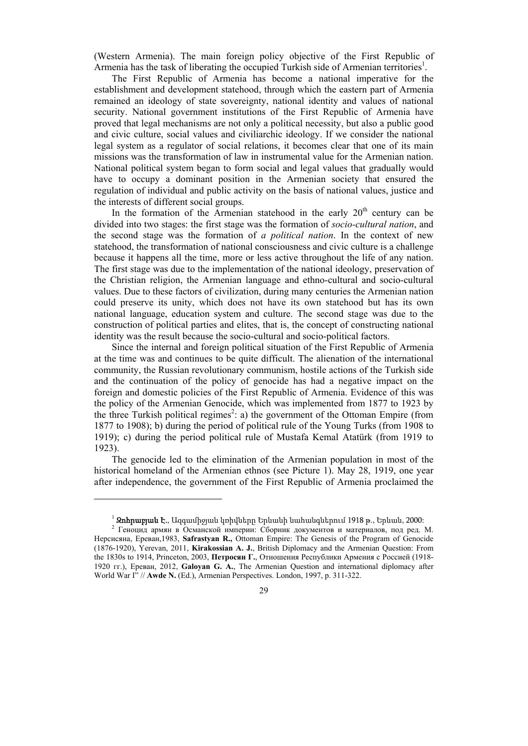(Western Armenia). The main foreign policy objective of the First Republic of Armenia has the task of liberating the occupied Turkish side of Armenian territories<sup>1</sup>.

The First Republic of Armenia has become a national imperative for the establishment and development statehood, through which the eastern part of Armenia remained an ideology of state sovereignty, national identity and values of national security. National government institutions of the First Republic of Armenia have proved that legal mechanisms are not only a political necessity, but also a public good and civic culture, social values and civiliarchic ideology. If we consider the national legal system as a regulator of social relations, it becomes clear that one of its main missions was the transformation of law in instrumental value for the Armenian nation. National political system began to form social and legal values that gradually would have to occupy a dominant position in the Armenian society that ensured the regulation of individual and public activity on the basis of national values, justice and the interests of different social groups.

In the formation of the Armenian statehood in the early  $20<sup>th</sup>$  century can be divided into two stages: the first stage was the formation of *socio-cultural nation*, and the second stage was the formation of *a political nation*. In the context of new statehood, the transformation of national consciousness and civic culture is a challenge because it happens all the time, more or less active throughout the life of any nation. The first stage was due to the implementation of the national ideology, preservation of the Christian religion, the Armenian language and ethno-cultural and socio-cultural values. Due to these factors of civilization, during many centuries the Armenian nation could preserve its unity, which does not have its own statehood but has its own national language, education system and culture. The second stage was due to the construction of political parties and elites, that is, the concept of constructing national identity was the result because the socio-cultural and socio-political factors.

Since the internal and foreign political situation of the First Republic of Armenia at the time was and continues to be quite difficult. The alienation of the international community, the Russian revolutionary communism, hostile actions of the Turkish side and the continuation of the policy of genocide has had a negative impact on the foreign and domestic policies of the First Republic of Armenia. Evidence of this was the policy of the Armenian Genocide, which was implemented from 1877 to 1923 by the three Turkish political regimes<sup>2</sup>: a) the government of the Ottoman Empire (from 1877 to 1908); b) during the period of political rule of the Young Turks (from 1908 to 1919); c) during the period political rule of Mustafa Kemal Atatürk (from 1919 to 1923).

The genocide led to the elimination of the Armenian population in most of the historical homeland of the Armenian ethnos (see Picture 1). May 28, 1919, one year after independence, the government of the First Republic of Armenia proclaimed the

<sup>&</sup>lt;sup>1</sup> **Զոհրաբյան Է.**, Ազգամիջյան կռիվները Երևանի նահանգներում 1918 թ., Երևան, 2000:<br><sup>2</sup> Геноцид армян в Османской империи: Сборник документов и материалов, под ред. М. Нерсисяна, Ереван,1983, **Safrastyan R.,** Ottoman Empire: The Genesis of the Program of Genocide (1876-1920), Yerevan, 2011, **Kirakossian A. J.**, British Diplomacy and the Armenian Question: From the 1830s to 1914, Princeton, 2003, **Петросян Г.**, Отношения Республики Армения с Россией (1918- 1920 гг.), Ереван, 2012, **Galoyan G. A.**, The Armenian Question and international diplomacy after World War I" // **Awde N.** (Ed.), Armenian Perspectives. London, 1997, p. 311-322.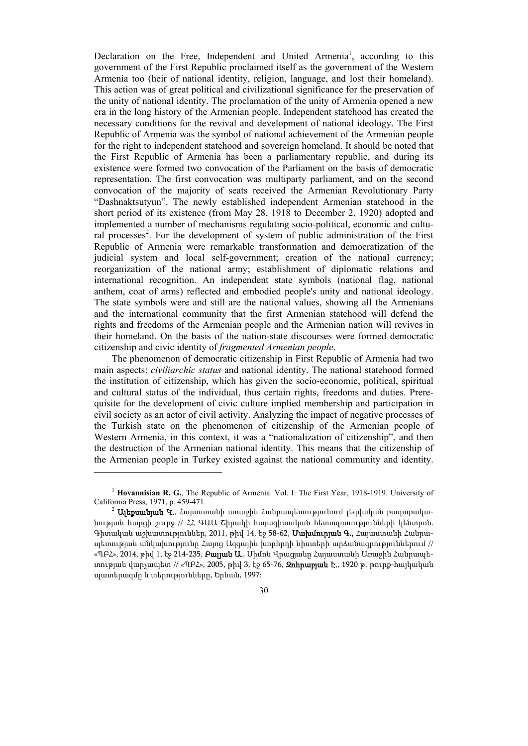Declaration on the Free, Independent and United Armenia<sup>1</sup>, according to this government of the First Republic proclaimed itself as the government of the Western Armenia too (heir of national identity, religion, language, and lost their homeland). This action was of great political and civilizational significance for the preservation of the unity of national identity. The proclamation of the unity of Armenia opened a new era in the long history of the Armenian people. Independent statehood has created the necessary conditions for the revival and development of national ideology. The First Republic of Armenia was the symbol of national achievement of the Armenian people for the right to independent statehood and sovereign homeland. It should be noted that the First Republic of Armenia has been a parliamentary republic, and during its existence were formed two convocation of the Parliament on the basis of democratic representation. The first convocation was multiparty parliament, and on the second convocation of the majority of seats received the Armenian Revolutionary Party "Dashnaktsutyun". The newly established independent Armenian statehood in the short period of its existence (from May 28, 1918 to December 2, 1920) adopted and implemented a number of mechanisms regulating socio-political, economic and cultural processes<sup>2</sup>. For the development of system of public administration of the First Republic of Armenia were remarkable transformation and democratization of the judicial system and local self-government; creation of the national currency; reorganization of the national army; establishment of diplomatic relations and international recognition. An independent state symbols (national flag, national anthem, coat of arms) reflected and embodied people's unity and national ideology. The state symbols were and still are the national values, showing all the Armenians and the international community that the first Armenian statehood will defend the rights and freedoms of the Armenian people and the Armenian nation will revives in their homeland. On the basis of the nation-state discourses were formed democratic citizenship and civic identity of *fragmented Armenian people*.

The phenomenon of democratic citizenship in First Republic of Armenia had two main aspects: *civiliarchic status* and national identity. The national statehood formed the institution of citizenship, which has given the socio-economic, political, spiritual and cultural status of the individual, thus certain rights, freedoms and duties. Prerequisite for the development of civic culture implied membership and participation in civil society as an actor of civil activity. Analyzing the impact of negative processes of the Turkish state on the phenomenon of citizenship of the Armenian people of Western Armenia, in this context, it was a "nationalization of citizenship", and then the destruction of the Armenian national identity. This means that the citizenship of the Armenian people in Turkey existed against the national community and identity.

<sup>1</sup> **Hovannisian R. G.**, The Republic of Armenia. Vol. I: The First Year, 1918-1919. University of California Press, 1971, p. 459-471.<br><sup>2</sup> **Ալեքսանյան Կ.**, Հայաստանի առաջին Հանրապետությունում լեզվական քաղաքակա-

նության հարցի շուրջ // ՀՀ ԳԱԱ Շիրակի հայագիտական հետազոտությունների կենտրոն. Գիտական աշխատություններ, 2011, թիվ 14, էջ 58-62, Մախմուրյան Գ., Հայաստանի Հանրապետության անկախությունը Հայոց Ազգային խորհրդի նիստերի արձանագրություններում // «ՊԲՀ», 2014, թիվ 1, էջ 214-235, **Բայլան Ա.**, Միմոն Վրացյանը Հայաստանի Առաջին Հանրապետության վարչապետ // «ՊԲՀ», 2005, թիվ 3, էջ 65-76, **Զոհրաբյան Է**., 1920 թ. թուրք-հայկական պատերազմը և տերությունները, Երևան, 1997: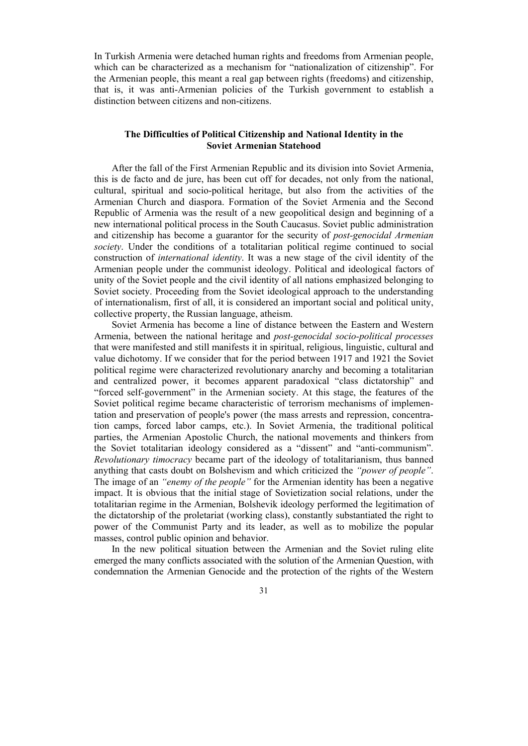In Turkish Armenia were detached human rights and freedoms from Armenian people, which can be characterized as a mechanism for "nationalization of citizenship". For the Armenian people, this meant a real gap between rights (freedoms) and citizenship, that is, it was anti-Armenian policies of the Turkish government to establish a distinction between citizens and non-citizens.

## **The Difficulties of Political Citizenship and National Identity in the Soviet Armenian Statehood**

After the fall of the First Armenian Republic and its division into Soviet Armenia, this is de facto and de jure, has been cut off for decades, not only from the national, cultural, spiritual and socio-political heritage, but also from the activities of the Armenian Church and diaspora. Formation of the Soviet Armenia and the Second Republic of Armenia was the result of a new geopolitical design and beginning of a new international political process in the South Caucasus. Soviet public administration and citizenship has become a guarantor for the security of *post-genocidal Armenian society*. Under the conditions of a totalitarian political regime continued to social construction of *international identity*. It was a new stage of the civil identity of the Armenian people under the communist ideology. Political and ideological factors of unity of the Soviet people and the civil identity of all nations emphasized belonging to Soviet society. Proceeding from the Soviet ideological approach to the understanding of internationalism, first of all, it is considered an important social and political unity, collective property, the Russian language, atheism.

Soviet Armenia has become a line of distance between the Eastern and Western Armenia, between the national heritage and *post-genocidal socio-political processes* that were manifested and still manifests it in spiritual, religious, linguistic, cultural and value dichotomy. If we consider that for the period between 1917 and 1921 the Soviet political regime were characterized revolutionary anarchy and becoming a totalitarian and centralized power, it becomes apparent paradoxical "class dictatorship" and "forced self-government" in the Armenian society. At this stage, the features of the Soviet political regime became characteristic of terrorism mechanisms of implementation and preservation of people's power (the mass arrests and repression, concentration camps, forced labor camps, etc.). In Soviet Armenia, the traditional political parties, the Armenian Apostolic Church, the national movements and thinkers from the Soviet totalitarian ideology considered as a "dissent" and "anti-communism". *Revolutionary timocracy* became part of the ideology of totalitarianism, thus banned anything that casts doubt on Bolshevism and which criticized the *"power of people"*. The image of an *"enemy of the people"* for the Armenian identity has been a negative impact. It is obvious that the initial stage of Sovietization social relations, under the totalitarian regime in the Armenian, Bolshevik ideology performed the legitimation of the dictatorship of the proletariat (working class), constantly substantiated the right to power of the Communist Party and its leader, as well as to mobilize the popular masses, control public opinion and behavior.

In the new political situation between the Armenian and the Soviet ruling elite emerged the many conflicts associated with the solution of the Armenian Question, with condemnation the Armenian Genocide and the protection of the rights of the Western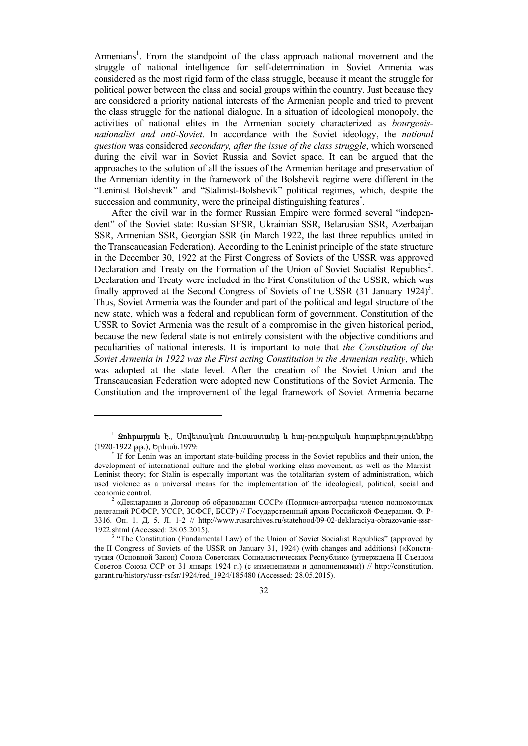Armenians<sup>1</sup>. From the standpoint of the class approach national movement and the struggle of national intelligence for self-determination in Soviet Armenia was considered as the most rigid form of the class struggle, because it meant the struggle for political power between the class and social groups within the country. Just because they are considered a priority national interests of the Armenian people and tried to prevent the class struggle for the national dialogue. In a situation of ideological monopoly, the activities of national elites in the Armenian society characterized as *bourgeoisnationalist and anti-Soviet*. In accordance with the Soviet ideology, the *national question* was considered *secondary, after the issue of the class struggle*, which worsened during the civil war in Soviet Russia and Soviet space. It can be argued that the approaches to the solution of all the issues of the Armenian heritage and preservation of the Armenian identity in the framework of the Bolshevik regime were different in the "Leninist Bolshevik" and "Stalinist-Bolshevik" political regimes, which, despite the succession and community, were the principal distinguishing features<sup>\*</sup>.

After the civil war in the former Russian Empire were formed several "independent" of the Soviet state: Russian SFSR, Ukrainian SSR, Belarusian SSR, Azerbaijan SSR, Armenian SSR, Georgian SSR (in March 1922, the last three republics united in the Transcaucasian Federation). According to the Leninist principle of the state structure in the December 30, 1922 at the First Congress of Soviets of the USSR was approved Declaration and Treaty on the Formation of the Union of Soviet Socialist Republics<sup>2</sup>. Declaration and Treaty were included in the First Constitution of the USSR, which was finally approved at the Second Congress of Soviets of the USSR  $(31)$  January 1924)<sup>3</sup>. Thus, Soviet Armenia was the founder and part of the political and legal structure of the new state, which was a federal and republican form of government. Constitution of the USSR to Soviet Armenia was the result of a compromise in the given historical period, because the new federal state is not entirely consistent with the objective conditions and peculiarities of national interests. It is important to note that *the Constitution of the Soviet Armenia in 1922 was the First acting Constitution in the Armenian reality*, which was adopted at the state level. After the creation of the Soviet Union and the Transcaucasian Federation were adopted new Constitutions of the Soviet Armenia. The Constitution and the improvement of the legal framework of Soviet Armenia became

<sup>&</sup>lt;sup>1</sup> **Զոհրաբյան Է**., Մովետական Ռուսաստանը և հայ-թուրքական հարաբերությունները (1920-1922 թթ.), Երևան,1979: \*

If for Lenin was an important state-building process in the Soviet republics and their union, the development of international culture and the global working class movement, as well as the Marxist-Leninist theory; for Stalin is especially important was the totalitarian system of administration, which used violence as a universal means for the implementation of the ideological, political, social and economic control.

 <sup>«</sup>Декларация и Договор об образовании СССР» (Подписи-автографы членов полномочных делегаций РСФСР, УССР, ЗСФСР, БССР) // Государственный архив Российской Федерации. Ф. Р-3316. Оп. 1. Д. 5. Л. 1-2 // http://www.rusarchives.ru/statehood/09-02-deklaraciya-obrazovanie-sssr-1922.shtml (Accessed: 28.05.2015).

<sup>&</sup>lt;sup>3</sup> "The Constitution (Fundamental Law) of the Union of Soviet Socialist Republics" (approved by the II Congress of Soviets of the USSR on January 31, 1924) (with changes and additions) («Конституция (Основной Закон) Союза Советских Социалистических Республик» (утверждена II Съездом Советов Союза ССР от 31 января 1924 г.) (с изменениями и дополнениями)) // http://constitution. garant.ru/history/ussr-rsfsr/1924/red\_1924/185480 (Accessed: 28.05.2015).

<sup>32</sup>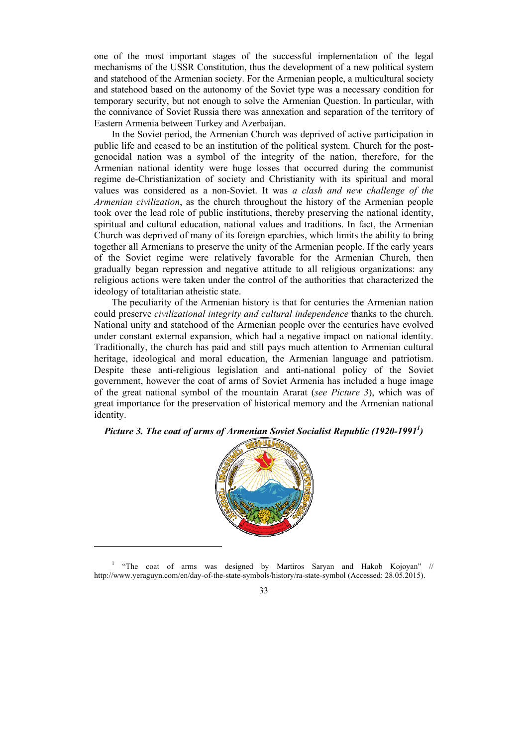one of the most important stages of the successful implementation of the legal mechanisms of the USSR Constitution, thus the development of a new political system and statehood of the Armenian society. For the Armenian people, a multicultural society and statehood based on the autonomy of the Soviet type was a necessary condition for temporary security, but not enough to solve the Armenian Question. In particular, with the connivance of Soviet Russia there was annexation and separation of the territory of Eastern Armenia between Turkey and Azerbaijan.

In the Soviet period, the Armenian Church was deprived of active participation in public life and ceased to be an institution of the political system. Church for the postgenocidal nation was a symbol of the integrity of the nation, therefore, for the Armenian national identity were huge losses that occurred during the communist regime de-Christianization of society and Christianity with its spiritual and moral values was considered as a non-Soviet. It was *a clash and new challenge of the Armenian civilization*, as the church throughout the history of the Armenian people took over the lead role of public institutions, thereby preserving the national identity, spiritual and cultural education, national values and traditions. In fact, the Armenian Church was deprived of many of its foreign eparchies, which limits the ability to bring together all Armenians to preserve the unity of the Armenian people. If the early years of the Soviet regime were relatively favorable for the Armenian Church, then gradually began repression and negative attitude to all religious organizations: any religious actions were taken under the control of the authorities that characterized the ideology of totalitarian atheistic state.

The peculiarity of the Armenian history is that for centuries the Armenian nation could preserve *civilizational integrity and cultural independence* thanks to the church. National unity and statehood of the Armenian people over the centuries have evolved under constant external expansion, which had a negative impact on national identity. Traditionally, the church has paid and still pays much attention to Armenian cultural heritage, ideological and moral education, the Armenian language and patriotism. Despite these anti-religious legislation and anti-national policy of the Soviet government, however the coat of arms of Soviet Armenia has included a huge image of the great national symbol of the mountain Ararat (*see Picture 3*), which was of great importance for the preservation of historical memory and the Armenian national identity.

Picture 3. The coat of arms of Armenian Soviet Socialist Republic (1920-1991<sup>1</sup>)



<sup>&</sup>lt;sup>1</sup> "The coat of arms was designed by Martiros Saryan and Hakob Kojoyan" // http://www.yeraguyn.com/en/day-of-the-state-symbols/history/ra-state-symbol (Accessed: 28.05.2015).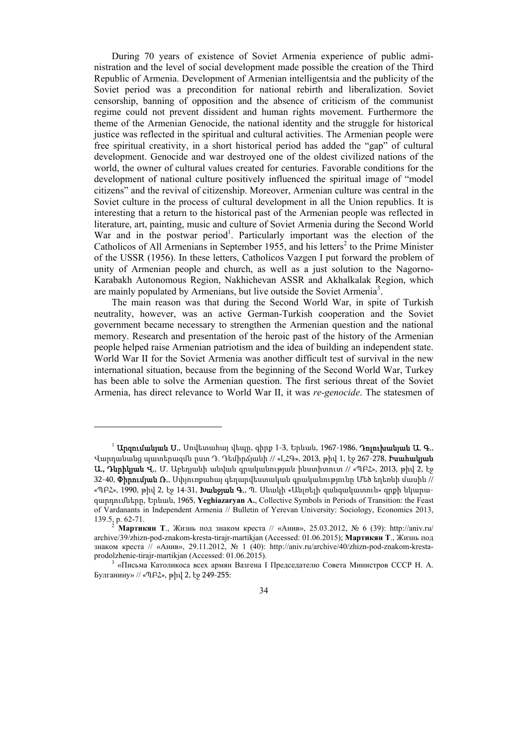During 70 years of existence of Soviet Armenia experience of public administration and the level of social development made possible the creation of the Third Republic of Armenia. Development of Armenian intelligentsia and the publicity of the Soviet period was a precondition for national rebirth and liberalization. Soviet censorship, banning of opposition and the absence of criticism of the communist regime could not prevent dissident and human rights movement. Furthermore the theme of the Armenian Genocide, the national identity and the struggle for historical justice was reflected in the spiritual and cultural activities. The Armenian people were free spiritual creativity, in a short historical period has added the "gap" of cultural development. Genocide and war destroyed one of the oldest civilized nations of the world, the owner of cultural values created for centuries. Favorable conditions for the development of national culture positively influenced the spiritual image of "model citizens" and the revival of citizenship. Moreover, Armenian culture was central in the Soviet culture in the process of cultural development in all the Union republics. It is interesting that a return to the historical past of the Armenian people was reflected in literature, art, painting, music and culture of Soviet Armenia during the Second World War and in the postwar period<sup>1</sup>. Particularly important was the election of the Catholicos of All Armenians in September 1955, and his letters<sup>2</sup> to the Prime Minister of the USSR (1956). In these letters, Catholicos Vazgen I put forward the problem of unity of Armenian people and church, as well as a just solution to the Nagorno-Karabakh Autonomous Region, Nakhichevan ASSR and Akhalkalak Region, which are mainly populated by Armenians, but live outside the Soviet Armenia<sup>3</sup>.

The main reason was that during the Second World War, in spite of Turkish neutrality, however, was an active German-Turkish cooperation and the Soviet government became necessary to strengthen the Armenian question and the national memory. Research and presentation of the heroic past of the history of the Armenian people helped raise Armenian patriotism and the idea of building an independent state. World War II for the Soviet Armenia was another difficult test of survival in the new international situation, because from the beginning of the Second World War, Turkey has been able to solve the Armenian question. The first serious threat of the Soviet Armenia, has direct relevance to World War II, it was *re-genocide*. The statesmen of

 $^1$  **Արզումանյան Ս.**, Սովետահայ վեպը, գիրք 1-3, Երևան, 1967-1986, **Դոլուխանյան Ա. Գ.**, Վարդանանց պատերազմն ըստ Դ. Դեմիրճյանի // «ԼՀԳ», 2013, թիվ 1, էջ 267-278, Իսահակյան Ա., Դևրիկյան Վ., Մ. Աբեղյանի անվան գրականության ինստիտուտ // «ՊԲՀ», 2013, թիվ 2, էջ 32-40, Փիրումյան Ռ., Սփյուռքահայ գեղարվեստական գրականությունը Մեծ եղեռնի մասին // «ՊԲՀ», 1990, թիվ 2, էջ 14-31, **Խանջյան Գ.**, Պ. Մևակի «Անլռելի զանգակատուն» գրքի նկարազարդումները, Երևան, 1965, **Yeghiazaryan A.**, Collective Symbols in Periods of Transition: the Feast of Vardanants in Independent Armenia // Bulletin of Yerevan University: Sociology, Economics 2013,

<sup>139.5,</sup> p. 62-71. 2 **Мартикян <sup>Т</sup>**., Жизнь под знаком креста // «Анив», 25.03.2012, № 6 (39): http://aniv.ru/ archive/39/zhizn-pod-znakom-kresta-tirajr-martikjan (Accessed: 01.06.2015); **Мартикян Т**., Жизнь под знаком креста // «Анив», 29.11.2012, № 1 (40): http://aniv.ru/archive/40/zhizn-pod-znakom-krestaprodolzhenie-tirajr-martikjan (Accessed: 01.06.2015). 3

 <sup>«</sup>Письма Католикоса всех армян Вазгена I Председателю Совета Министров СССР Н. А. Булганину» // «ՊԲՀ», թիվ 2, էջ 249-255: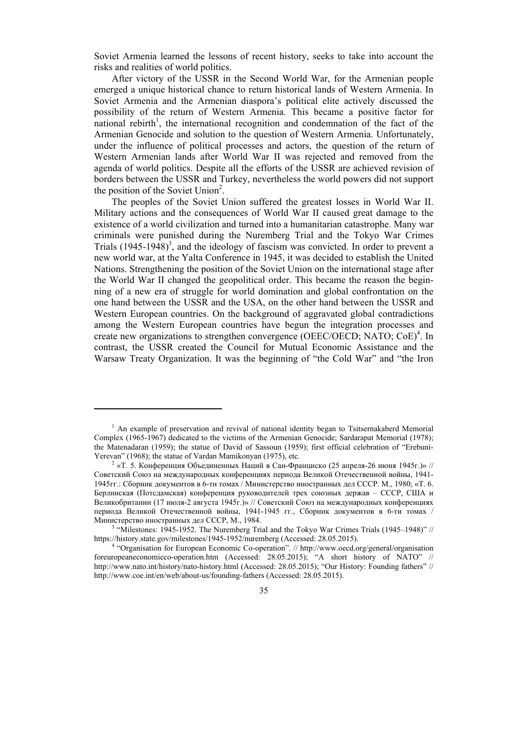Soviet Armenia learned the lessons of recent history, seeks to take into account the risks and realities of world politics.

After victory of the USSR in the Second World War, for the Armenian people emerged a unique historical chance to return historical lands of Western Armenia. In Soviet Armenia and the Armenian diaspora's political elite actively discussed the possibility of the return of Western Armenia. This became a positive factor for national rebirth<sup>1</sup>, the international recognition and condemnation of the fact of the Armenian Genocide and solution to the question of Western Armenia. Unfortunately, under the influence of political processes and actors, the question of the return of Western Armenian lands after World War II was rejected and removed from the agenda of world politics. Despite all the efforts of the USSR are achieved revision of borders between the USSR and Turkey, nevertheless the world powers did not support the position of the Soviet Union<sup>2</sup>.

The peoples of the Soviet Union suffered the greatest losses in World War II. Military actions and the consequences of World War II caused great damage to the existence of a world civilization and turned into a humanitarian catastrophe. Many war criminals were punished during the Nuremberg Trial and the Tokyo War Crimes Trials  $(1945-1948)^3$ , and the ideology of fascism was convicted. In order to prevent a new world war, at the Yalta Conference in 1945, it was decided to establish the United Nations. Strengthening the position of the Soviet Union on the international stage after the World War II changed the geopolitical order. This became the reason the beginning of a new era of struggle for world domination and global confrontation on the one hand between the USSR and the USA, on the other hand between the USSR and Western European countries. On the background of aggravated global contradictions among the Western European countries have begun the integration processes and create new organizations to strengthen convergence (OEEC/OECD; NATO; CoE)<sup>4</sup>. In contrast, the USSR created the Council for Mutual Economic Assistance and the Warsaw Treaty Organization. It was the beginning of "the Cold War" and "the Iron

<sup>&</sup>lt;sup>1</sup> An example of preservation and revival of national identity began to Tsitsernakaberd Memorial Complex (1965-1967) dedicated to the victims of the Armenian Genocide; Sardarapat Memorial (1978); the Matenadaran (1959); the statue of David of Sassoun (1959); first official celebration of "Erebuni-Yerevan" (1968); the statue of Vardan Mamikonyan (1975), etc.

<sup>&</sup>lt;sup>2</sup> «Т. 5. Конференция Объединенных Наций в Сан-Франциско (25 апреля-26 июня 1945г.)» // Советский Союз на международных конференциях периода Великой Отечественной войны, 1941- 1945гг.: Сборник документов в 6-ти томах / Министерство иностранных дел СССР. М., 1980; «T. 6. Берлинская (Потсдамская) конференция руководителей трех союзных держав – СССР, США и Великобритании (17 июля-2 августа 1945г.)» // Советский Союз на международных конференциях периода Великой Отечественной войны, 1941-1945 гг., Сборник документов в 6-ти томах / Министерство иностранных дел СССР, М., 1984.

<sup>&</sup>lt;sup>3</sup> "Milestones: 1945-1952. The Nuremberg Trial and the Tokyo War Crimes Trials (1945–1948)" // https://history.state.gov/milestones/1945-1952/nuremberg (Accessed: 28.05.2015).

<sup>&</sup>lt;sup>4</sup> "Organisation for European Economic Co-operation". // http://www.oecd.org/general/organisation foreuropeaneconomicco-operation.htm (Accessed: 28.05.2015); "A short history of NATO" // http://www.nato.int/history/nato-history.html (Accessed: 28.05.2015); "Our History: Founding fathers" // http://www.coe.int/en/web/about-us/founding-fathers (Accessed: 28.05.2015).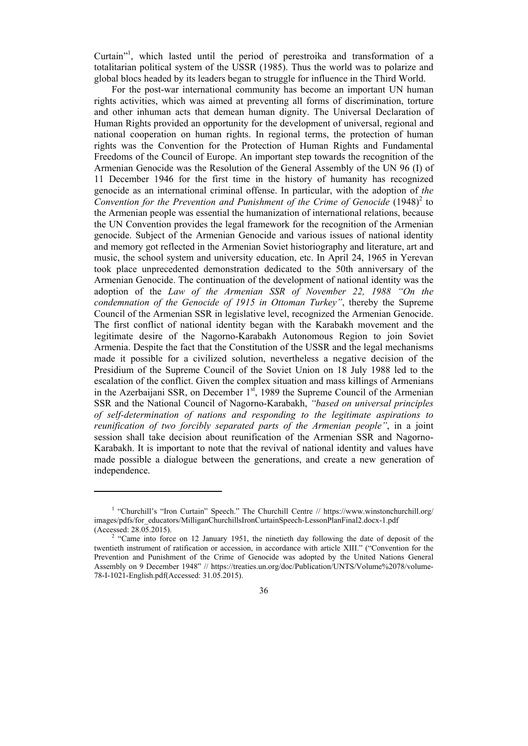Curtain"1 , which lasted until the period of perestroika and transformation of a totalitarian political system of the USSR (1985). Thus the world was to polarize and global blocs headed by its leaders began to struggle for influence in the Third World.

For the post-war international community has become an important UN human rights activities, which was aimed at preventing all forms of discrimination, torture and other inhuman acts that demean human dignity. The Universal Declaration of Human Rights provided an opportunity for the development of universal, regional and national cooperation on human rights. In regional terms, the protection of human rights was the Convention for the Protection of Human Rights and Fundamental Freedoms of the Council of Europe. An important step towards the recognition of the Armenian Genocide was the Resolution of the General Assembly of the UN 96 (I) of 11 December 1946 for the first time in the history of humanity has recognized genocide as an international criminal offense. In particular, with the adoption of *the*  Convention for the Prevention and Punishment of the Crime of Genocide (1948)<sup>2</sup> to the Armenian people was essential the humanization of international relations, because the UN Convention provides the legal framework for the recognition of the Armenian genocide. Subject of the Armenian Genocide and various issues of national identity and memory got reflected in the Armenian Soviet historiography and literature, art and music, the school system and university education, etc. In April 24, 1965 in Yerevan took place unprecedented demonstration dedicated to the 50th anniversary of the Armenian Genocide. The continuation of the development of national identity was the adoption of the *Law of the Armenian SSR of November 22, 1988 "On the condemnation of the Genocide of 1915 in Ottoman Turkey"*, thereby the Supreme Council of the Armenian SSR in legislative level, recognized the Armenian Genocide. The first conflict of national identity began with the Karabakh movement and the legitimate desire of the Nagorno-Karabakh Autonomous Region to join Soviet Armenia. Despite the fact that the Constitution of the USSR and the legal mechanisms made it possible for a civilized solution, nevertheless a negative decision of the Presidium of the Supreme Council of the Soviet Union on 18 July 1988 led to the escalation of the conflict. Given the complex situation and mass killings of Armenians in the Azerbaijani SSR, on December  $1<sup>st</sup>$ , 1989 the Supreme Council of the Armenian SSR and the National Council of Nagorno-Karabakh, *"based on universal principles of self-determination of nations and responding to the legitimate aspirations to reunification of two forcibly separated parts of the Armenian people"*, in a joint session shall take decision about reunification of the Armenian SSR and Nagorno-Karabakh. It is important to note that the revival of national identity and values have made possible a dialogue between the generations, and create a new generation of independence.

<sup>&</sup>lt;sup>1</sup> "Churchill's "Iron Curtain" Speech." The Churchill Centre // https://www.winstonchurchill.org/ images/pdfs/for\_educators/MilliganChurchillsIronCurtainSpeech-LessonPlanFinal2.docx-1.pdf  $(Accessed: 28.05.2015).$ 

 $2 \text{``Came into force on 12 January 1951, the nineteenth day following the date of deposit of the$ twentieth instrument of ratification or accession, in accordance with article XIII." ("Convention for the Prevention and Punishment of the Crime of Genocide was adopted by the United Nations General Assembly on 9 December 1948" // https://treaties.un.org/doc/Publication/UNTS/Volume%2078/volume-78-I-1021-English.pdf(Accessed: 31.05.2015).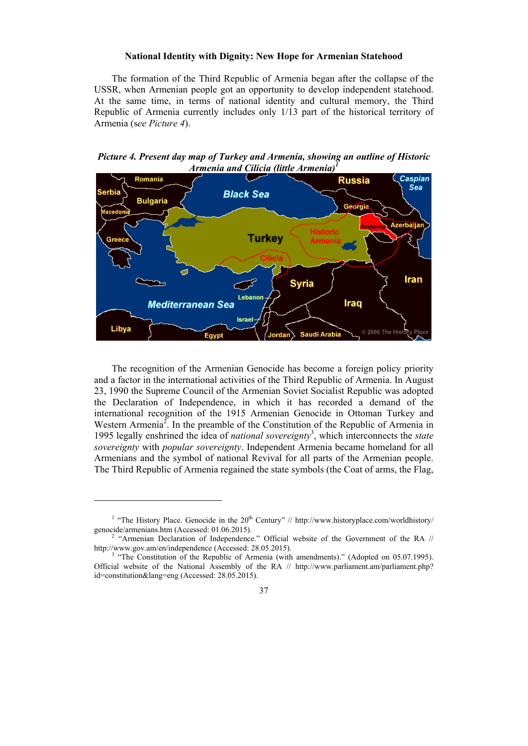#### **National Identity with Dignity: New Hope for Armenian Statehood**

The formation of the Third Republic of Armenia began after the collapse of the USSR, when Armenian people got an opportunity to develop independent statehood. At the same time, in terms of national identity and cultural memory, the Third Republic of Armenia currently includes only 1/13 part of the historical territory of Armenia (s*ee Picture 4*).

*Picture 4. Present day map of Turkey and Armenia, showing an outline of Historic Armenia and Cilicia (little Armenia)<sup>1</sup>*



The recognition of the Armenian Genocide has become a foreign policy priority and a factor in the international activities of the Third Republic of Armenia. In August 23, 1990 the Supreme Council of the Armenian Soviet Socialist Republic was adopted the Declaration of Independence, in which it has recorded a demand of the international recognition of the 1915 Armenian Genocide in Ottoman Turkey and Western Armenia<sup>2</sup>. In the preamble of the Constitution of the Republic of Armenia in 1995 legally enshrined the idea of *national sovereignty*<sup>3</sup> , which interconnects the *state sovereignty* with *popular sovereignty*. Independent Armenia became homeland for all Armenians and the symbol of national Revival for all parts of the Armenian people. The Third Republic of Armenia regained the state symbols (the Coat of arms, the Flag,

<sup>&</sup>lt;sup>1</sup> "The History Place. Genocide in the  $20<sup>th</sup>$  Century" // http://www.historyplace.com/worldhistory/ genocide/armenians.htm (Accessed: 01.06.2015). 2

 $^2$  "Armenian Declaration of Independence." Official website of the Government of the RA // http://www.gov.am/en/independence (Accessed: 28.05.2015).

 <sup>&</sup>quot;The Constitution of the Republic of Armenia (with amendments)." (Adopted on 05.07.1995). Official website of the National Assembly of the RA // http://www.parliament.am/parliament.php? id=constitution&lang=eng (Accessed: 28.05.2015).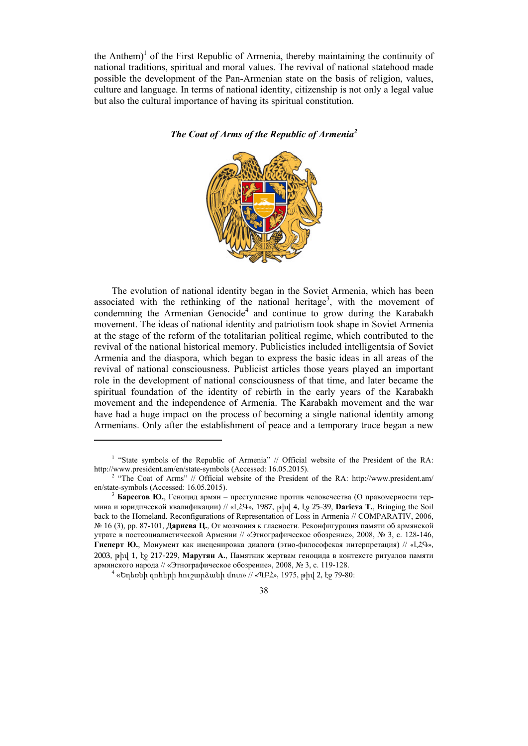the Anthem)<sup>1</sup> of the First Republic of Armenia, thereby maintaining the continuity of national traditions, spiritual and moral values. The revival of national statehood made possible the development of the Pan-Armenian state on the basis of religion, values, culture and language. In terms of national identity, citizenship is not only a legal value but also the cultural importance of having its spiritual constitution.

*The Coat of Arms of the Republic of Armenia<sup>2</sup>*

The evolution of national identity began in the Soviet Armenia, which has been associated with the rethinking of the national heritage<sup>3</sup>, with the movement of condemning the Armenian Genocide<sup>4</sup> and continue to grow during the Karabakh movement. The ideas of national identity and patriotism took shape in Soviet Armenia at the stage of the reform of the totalitarian political regime, which contributed to the revival of the national historical memory. Publicistics included intelligentsia of Soviet Armenia and the diaspora, which began to express the basic ideas in all areas of the revival of national consciousness. Publicist articles those years played an important role in the development of national consciousness of that time, and later became the spiritual foundation of the identity of rebirth in the early years of the Karabakh movement and the independence of Armenia. The Karabakh movement and the war have had a huge impact on the process of becoming a single national identity among Armenians. Only after the establishment of peace and a temporary truce began a new



<sup>&</sup>lt;sup>1</sup> "State symbols of the Republic of Armenia" // Official website of the President of the RA: http://www.president.am/en/state-symbols (Accessed: 16.05.2015).

<sup>&</sup>lt;sup>2</sup> "The Coat of Arms" // Official website of the President of the RA: http://www.president.am/ en/state-symbols (Accessed: 16.05.2015). 3 **Барсегов <sup>Ю</sup>.**, Геноцид армян – преступление против человечества (<sup>О</sup> правомерности тер-

мина и юридической квалификации) // «ԼՀԳ», 1987, թիվ 4, էջ 25-39, **Darieva T.**, Bringing the Soil back to the Homeland. Reconfigurations of Representation of Loss in Armenia // COMPARATIV, 2006, № 16 (3), pp. 87-101, **Дариева Ц.**, От молчания к гласности. Реконфигурация памяти об армянской утрате в постсоциалистической Армении // «Этнографическое обозрение», 2008, № 3, с. 128-146, **Гисперт Ю.**, Монумент как инсценировка диалога (этно-философская интерпретация) // «ԼՀԳ», 2003, թիվ 1, էջ 217-229, **Марутян А.**, Памятник жертвам геноцида в контексте ритуалов памяти армянского народа // «Этнографическое обозрение», 2008, № 3, с. 119-128. 4

 <sup>«</sup>Եղեռնի զոհերի հուշարձանի մոտ» // «ՊԲՀ», 1975, թիվ 2, էջ 79-80: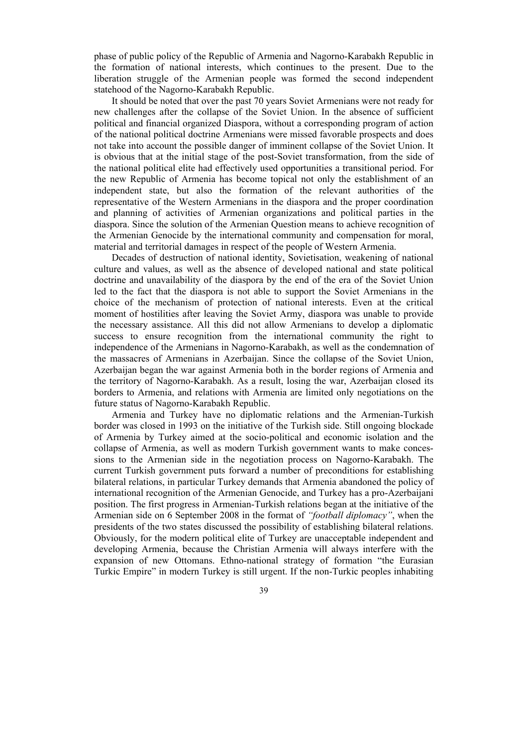phase of public policy of the Republic of Armenia and Nagorno-Karabakh Republic in the formation of national interests, which continues to the present. Due to the liberation struggle of the Armenian people was formed the second independent statehood of the Nagorno-Karabakh Republic.

It should be noted that over the past 70 years Soviet Armenians were not ready for new challenges after the collapse of the Soviet Union. In the absence of sufficient political and financial organized Diaspora, without a corresponding program of action of the national political doctrine Armenians were missed favorable prospects and does not take into account the possible danger of imminent collapse of the Soviet Union. It is obvious that at the initial stage of the post-Soviet transformation, from the side of the national political elite had effectively used opportunities a transitional period. For the new Republic of Armenia has become topical not only the establishment of an independent state, but also the formation of the relevant authorities of the representative of the Western Armenians in the diaspora and the proper coordination and planning of activities of Armenian organizations and political parties in the diaspora. Since the solution of the Armenian Question means to achieve recognition of the Armenian Genocide by the international community and compensation for moral, material and territorial damages in respect of the people of Western Armenia.

Decades of destruction of national identity, Sovietisation, weakening of national culture and values, as well as the absence of developed national and state political doctrine and unavailability of the diaspora by the end of the era of the Soviet Union led to the fact that the diaspora is not able to support the Soviet Armenians in the choice of the mechanism of protection of national interests. Even at the critical moment of hostilities after leaving the Soviet Army, diaspora was unable to provide the necessary assistance. All this did not allow Armenians to develop a diplomatic success to ensure recognition from the international community the right to independence of the Armenians in Nagorno-Karabakh, as well as the condemnation of the massacres of Armenians in Azerbaijan. Since the collapse of the Soviet Union, Azerbaijan began the war against Armenia both in the border regions of Armenia and the territory of Nagorno-Karabakh. As a result, losing the war, Azerbaijan closed its borders to Armenia, and relations with Armenia are limited only negotiations on the future status of Nagorno-Karabakh Republic.

Armenia and Turkey have no diplomatic relations and the Armenian-Turkish border was closed in 1993 on the initiative of the Turkish side. Still ongoing blockade of Armenia by Turkey aimed at the socio-political and economic isolation and the collapse of Armenia, as well as modern Turkish government wants to make concessions to the Armenian side in the negotiation process on Nagorno-Karabakh. The current Turkish government puts forward a number of preconditions for establishing bilateral relations, in particular Turkey demands that Armenia abandoned the policy of international recognition of the Armenian Genocide, and Turkey has a pro-Azerbaijani position. The first progress in Armenian-Turkish relations began at the initiative of the Armenian side on 6 September 2008 in the format of *"football diplomacy"*, when the presidents of the two states discussed the possibility of establishing bilateral relations. Obviously, for the modern political elite of Turkey are unacceptable independent and developing Armenia, because the Christian Armenia will always interfere with the expansion of new Ottomans. Ethno-national strategy of formation "the Eurasian Turkic Empire" in modern Turkey is still urgent. If the non-Turkic peoples inhabiting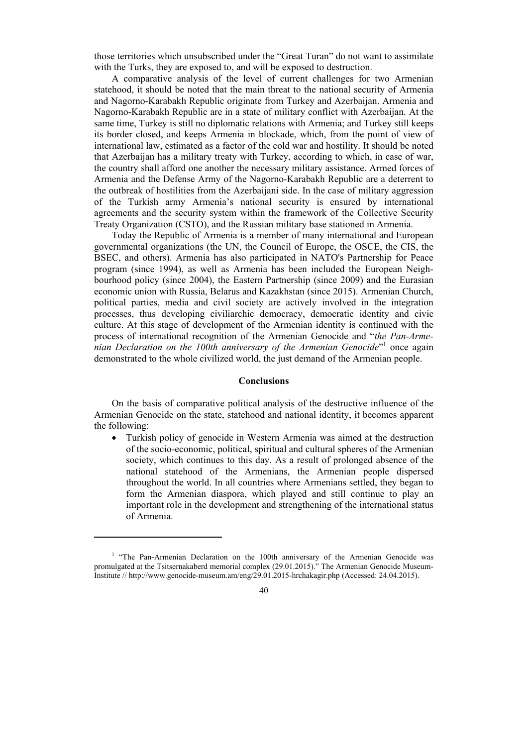those territories which unsubscribed under the "Great Turan" do not want to assimilate with the Turks, they are exposed to, and will be exposed to destruction.

A comparative analysis of the level of current challenges for two Armenian statehood, it should be noted that the main threat to the national security of Armenia and Nagorno-Karabakh Republic originate from Turkey and Azerbaijan. Armenia and Nagorno-Karabakh Republic are in a state of military conflict with Azerbaijan. At the same time, Turkey is still no diplomatic relations with Armenia; and Turkey still keeps its border closed, and keeps Armenia in blockade, which, from the point of view of international law, estimated as a factor of the cold war and hostility. It should be noted that Azerbaijan has a military treaty with Turkey, according to which, in case of war, the country shall afford one another the necessary military assistance. Armed forces of Armenia and the Defense Army of the Nagorno-Karabakh Republic are a deterrent to the outbreak of hostilities from the Azerbaijani side. In the case of military aggression of the Turkish army Armenia's national security is ensured by international agreements and the security system within the framework of the Collective Security Treaty Organization (CSTO), and the Russian military base stationed in Armenia.

Today the Republic of Armenia is a member of many international and European governmental organizations (the UN, the Council of Europe, the OSCE, the CIS, the BSEC, and others). Armenia has also participated in NATO's Partnership for Peace program (since 1994), as well as Armenia has been included the European Neighbourhood policy (since 2004), the Eastern Partnership (since 2009) and the Eurasian economic union with Russia, Belarus and Kazakhstan (since 2015). Armenian Church, political parties, media and civil society are actively involved in the integration processes, thus developing civiliarchic democracy, democratic identity and civic culture. At this stage of development of the Armenian identity is continued with the process of international recognition of the Armenian Genocide and "*the Pan-Arme*nian Declaration on the 100th anniversary of the Armenian Genocide<sup>"1</sup> once again demonstrated to the whole civilized world, the just demand of the Armenian people.

#### **Conclusions**

On the basis of comparative political analysis of the destructive influence of the Armenian Genocide on the state, statehood and national identity, it becomes apparent the following:

 Turkish policy of genocide in Western Armenia was aimed at the destruction of the socio-economic, political, spiritual and cultural spheres of the Armenian society, which continues to this day. As a result of prolonged absence of the national statehood of the Armenians, the Armenian people dispersed throughout the world. In all countries where Armenians settled, they began to form the Armenian diaspora, which played and still continue to play an important role in the development and strengthening of the international status of Armenia.

<sup>&</sup>lt;sup>1</sup> "The Pan-Armenian Declaration on the 100th anniversary of the Armenian Genocide was promulgated at the Tsitsernakaberd memorial complex (29.01.2015)." The Armenian Genocide Museum-Institute // http://www.genocide-museum.am/eng/29.01.2015-hrchakagir.php (Accessed: 24.04.2015).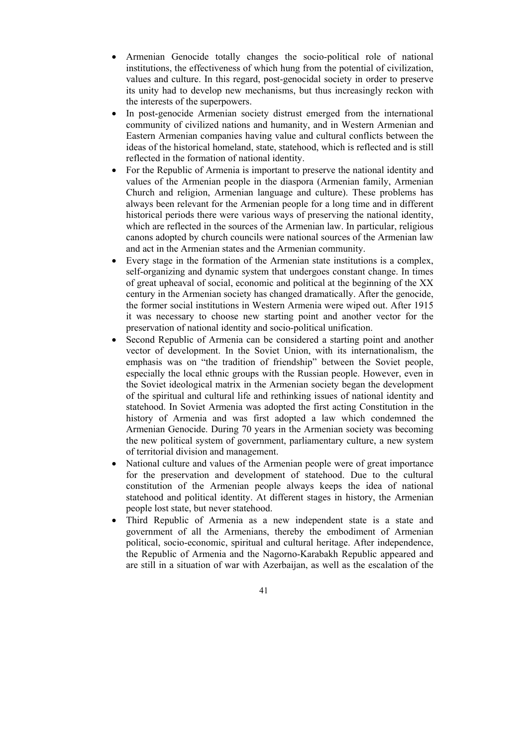- Armenian Genocide totally changes the socio-political role of national institutions, the effectiveness of which hung from the potential of civilization, values and culture. In this regard, post-genocidal society in order to preserve its unity had to develop new mechanisms, but thus increasingly reckon with the interests of the superpowers.
- In post-genocide Armenian society distrust emerged from the international community of civilized nations and humanity, and in Western Armenian and Eastern Armenian companies having value and cultural conflicts between the ideas of the historical homeland, state, statehood, which is reflected and is still reflected in the formation of national identity.
- For the Republic of Armenia is important to preserve the national identity and values of the Armenian people in the diaspora (Armenian family, Armenian Church and religion, Armenian language and culture). These problems has always been relevant for the Armenian people for a long time and in different historical periods there were various ways of preserving the national identity, which are reflected in the sources of the Armenian law. In particular, religious canons adopted by church councils were national sources of the Armenian law and act in the Armenian states and the Armenian community.
- Every stage in the formation of the Armenian state institutions is a complex, self-organizing and dynamic system that undergoes constant change. In times of great upheaval of social, economic and political at the beginning of the XX century in the Armenian society has changed dramatically. After the genocide, the former social institutions in Western Armenia were wiped out. After 1915 it was necessary to choose new starting point and another vector for the preservation of national identity and socio-political unification.
- Second Republic of Armenia can be considered a starting point and another vector of development. In the Soviet Union, with its internationalism, the emphasis was on "the tradition of friendship" between the Soviet people, especially the local ethnic groups with the Russian people. However, even in the Soviet ideological matrix in the Armenian society began the development of the spiritual and cultural life and rethinking issues of national identity and statehood. In Soviet Armenia was adopted the first acting Constitution in the history of Armenia and was first adopted a law which condemned the Armenian Genocide. During 70 years in the Armenian society was becoming the new political system of government, parliamentary culture, a new system of territorial division and management.
- National culture and values of the Armenian people were of great importance for the preservation and development of statehood. Due to the cultural constitution of the Armenian people always keeps the idea of national statehood and political identity. At different stages in history, the Armenian people lost state, but never statehood.
- Third Republic of Armenia as a new independent state is a state and government of all the Armenians, thereby the embodiment of Armenian political, socio-economic, spiritual and cultural heritage. After independence, the Republic of Armenia and the Nagorno-Karabakh Republic appeared and are still in a situation of war with Azerbaijan, as well as the escalation of the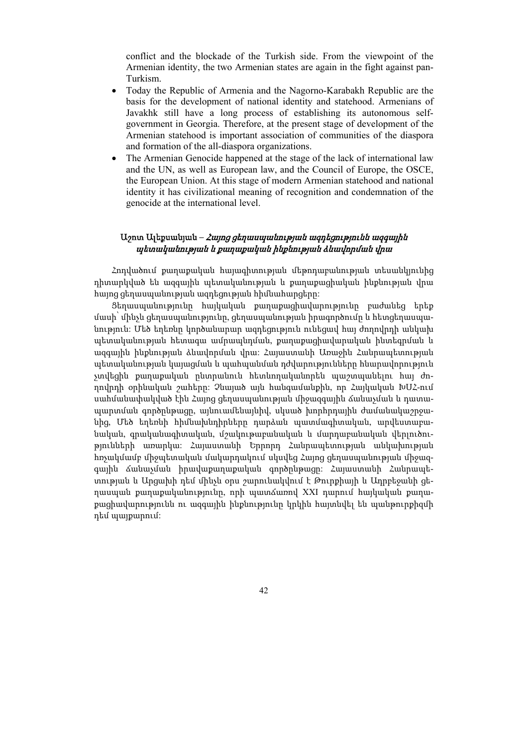conflict and the blockade of the Turkish side. From the viewpoint of the Armenian identity, the two Armenian states are again in the fight against pan-Turkism.

- Today the Republic of Armenia and the Nagorno-Karabakh Republic are the basis for the development of national identity and statehood. Armenians of Javakhk still have a long process of establishing its autonomous selfgovernment in Georgia. Therefore, at the present stage of development of the Armenian statehood is important association of communities of the diaspora and formation of the all-diaspora organizations.
- The Armenian Genocide happened at the stage of the lack of international law and the UN, as well as European law, and the Council of Europe, the OSCE, the European Union. At this stage of modern Armenian statehood and national identity it has civilizational meaning of recognition and condemnation of the genocide at the international level.

# Աշոտ Ալեքսանյան **–** Հայոց ցեղասպանության ազդեցությունն ազգային պետականության և քաղաքական ինքնության ձևավորման վրա

Հոդվածում քաղաքական հայագիտության մեթոդաբանության տեսանկյունից դիտարկված են ազգային պետականության և քաղաքացիական ինքնության վրա հայոց ցեղասպանության ազդեցության հիմնահարցերը:

Ցեղասպանությունը հայկական քաղաքացիավարությունը բաժանեց երեք մասի՝ մինչև ցեղասպանությունը, ցեղասպանության իրագործումը և հետցեղասպանություն: Մեծ եղեռնը կործանարար ազդեցություն ունեցավ հայ ժողովրդի անկախ պետականության հետագա ամրապնդման, քաղաքացիավարական ինտեգրման և ազգային ինքնության ձևավորման վրա: Հայաստանի Առաջին Հանրապետության պետականության կայացման և պահպանման դժվարությունները հնարավորություն չտվեցին քաղաքական ընտրանուն հետևողականորեն պաշտպանելու հայ ժողովրդի օրինական շահերը: Չնայած այն հանգամանքին, որ Հայկական ԽՍՀ-ում սահմանափակված էին Հայոց ցեղասպանության միջազգային ճանաչման և դատապարտման գործընթացը, այնուամենայնիվ, սկսած խորհրդային ժամանակաշրջանից, Մեծ եղեռնի հիմնախնդիրները դարձան պատմագիտական, արվեստաբանական, գրականագիտական, մշակութաբանական և մարդաբանական վերլուծությունների առարկա: Հայաստանի Երրորդ Հանրապետության անկախության հռչակմամբ միջպետական մակարդակում սկսվեց Հայոց ցեղասպանության միջազգային ճանաչման իրավաքաղաքական գործընթացը: Հայաստանի Հանրապետության և Արցախի դեմ մինչև օրս շարունակվում է Թուրքիայի և Ադրբեջանի ցեղասպան քաղաքականությունը, որի պատճառով XXI դարում հայկական քաղաքացիավարությունն ու ազգային ինքնությունը կրկին հայտնվել են պանթուրքիզմի դեմ պայքարում: